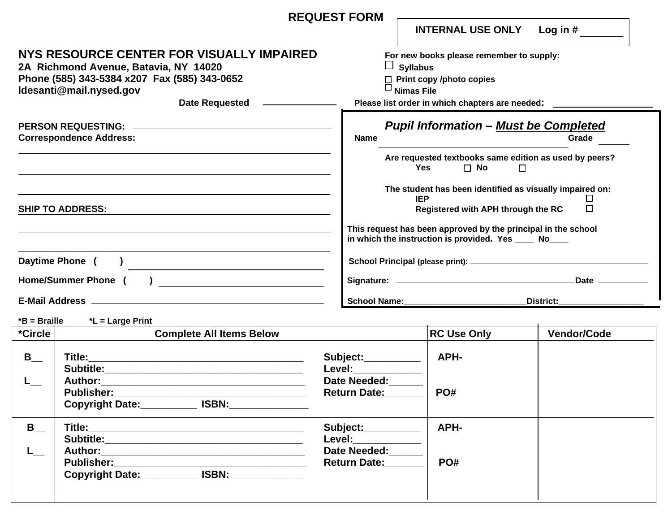|                                                                                                                                                                                        | <b>REQUEST FORM</b>                               |                                                                                 |                                                                                                                                                                                            | <b>INTERNAL USE ONLY</b> | Log in $#$                                                                                                                   |  |
|----------------------------------------------------------------------------------------------------------------------------------------------------------------------------------------|---------------------------------------------------|---------------------------------------------------------------------------------|--------------------------------------------------------------------------------------------------------------------------------------------------------------------------------------------|--------------------------|------------------------------------------------------------------------------------------------------------------------------|--|
| NYS RESOURCE CENTER FOR VISUALLY IMPAIRED<br>2A Richmond Avenue, Batavia, NY 14020<br>Phone (585) 343-5384 x207 Fax (585) 343-0652<br>Idesanti@mail.nysed.gov<br><b>Date Requested</b> |                                                   |                                                                                 | For new books please remember to supply:<br>ப<br><b>Syllabus</b><br>$\Box$ Print copy /photo copies<br>$\Box$ Nimas File<br>Please list order in which chapters are needed: _              |                          |                                                                                                                              |  |
| PERSON REQUESTING: ____________<br><b>Correspondence Address:</b>                                                                                                                      |                                                   | <b>Name</b>                                                                     | <b>Pupil Information - Must be Completed</b><br>Grade                                                                                                                                      |                          |                                                                                                                              |  |
|                                                                                                                                                                                        |                                                   |                                                                                 | <b>Yes</b>                                                                                                                                                                                 | $\Box$ No                | Are requested textbooks same edition as used by peers?<br>$\Box$<br>The student has been identified as visually impaired on: |  |
| <b>SHIP TO ADDRESS:</b>                                                                                                                                                                |                                                   |                                                                                 | <b>IEP</b><br>$\Box$<br>П<br>Registered with APH through the RC<br>This request has been approved by the principal in the school<br>in which the instruction is provided. Yes _____ No____ |                          |                                                                                                                              |  |
| Daytime Phone (<br>Home/Summer Phone (                                                                                                                                                 |                                                   |                                                                                 |                                                                                                                                                                                            |                          |                                                                                                                              |  |
| E-Mail Address _                                                                                                                                                                       |                                                   | School Name:                                                                    |                                                                                                                                                                                            | <b>District:</b>         |                                                                                                                              |  |
| $*B = Braille$                                                                                                                                                                         | *L = Large Print                                  |                                                                                 |                                                                                                                                                                                            |                          |                                                                                                                              |  |
| *Circle                                                                                                                                                                                | <b>Complete All Items Below</b>                   |                                                                                 |                                                                                                                                                                                            | <b>RC Use Only</b>       | <b>Vendor/Code</b>                                                                                                           |  |
| $B_{\_\_\_\_\}$                                                                                                                                                                        | Title:<br><b>Subtitle:</b><br><b>Author:</b>      | Subject:__________<br><b>Level:</b><br>Date Needed:<br>Return Date:             |                                                                                                                                                                                            | APH-<br>PO#              |                                                                                                                              |  |
| $B_{--}$                                                                                                                                                                               | Copyright Date:______________ ISBN:______________ | Subject:_________<br><b>Level:_____________</b><br>Date Needed:<br>Return Date: |                                                                                                                                                                                            | APH-<br>PO#              |                                                                                                                              |  |